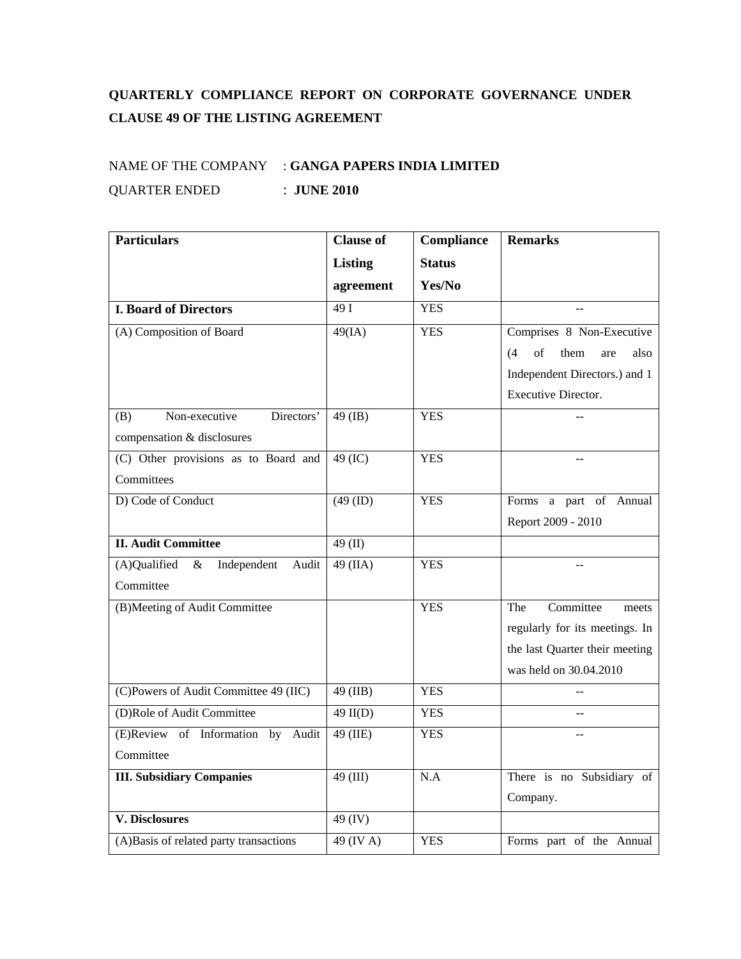## **QUARTERLY COMPLIANCE REPORT ON CORPORATE GOVERNANCE UNDER CLAUSE 49 OF THE LISTING AGREEMENT**

## NAME OF THE COMPANY : **GANGA PAPERS INDIA LIMITED** QUARTER ENDED : **JUNE 2010**

| <b>Particulars</b>                           | <b>Clause of</b>      | Compliance    | <b>Remarks</b>                   |
|----------------------------------------------|-----------------------|---------------|----------------------------------|
|                                              | <b>Listing</b>        | <b>Status</b> |                                  |
|                                              | agreement             | Yes/No        |                                  |
| <b>I. Board of Directors</b>                 | 49I                   | <b>YES</b>    |                                  |
| (A) Composition of Board                     | $49$ (IA)             | <b>YES</b>    | Comprises 8 Non-Executive        |
|                                              |                       |               | of<br>(4)<br>them<br>also<br>are |
|                                              |                       |               | Independent Directors.) and 1    |
|                                              |                       |               | Executive Director.              |
| Non-executive<br>Directors'<br>(B)           | $49$ (IB)             | <b>YES</b>    |                                  |
| compensation & disclosures                   |                       |               |                                  |
| (C) Other provisions as to Board and         | $49$ (IC)             | <b>YES</b>    |                                  |
| Committees                                   |                       |               |                                  |
| D) Code of Conduct                           | (49 (ID)              | <b>YES</b>    | Forms a part of Annual           |
|                                              |                       |               | Report 2009 - 2010               |
| <b>II. Audit Committee</b>                   | 49 (II)               |               |                                  |
| (A)Qualified<br>$\&$<br>Independent<br>Audit | 49 (IIA)              | <b>YES</b>    |                                  |
| Committee                                    |                       |               |                                  |
| (B)Meeting of Audit Committee                |                       | <b>YES</b>    | Committee<br>The<br>meets        |
|                                              |                       |               | regularly for its meetings. In   |
|                                              |                       |               | the last Quarter their meeting   |
|                                              |                       |               | was held on 30.04.2010           |
| (C)Powers of Audit Committee 49 (IIC)        | 49 (IIB)              | <b>YES</b>    |                                  |
| (D)Role of Audit Committee                   | $\overline{49}$ II(D) | <b>YES</b>    | $-$                              |
| (E)Review of Information by<br>Audit         | 49 (IIE)              | <b>YES</b>    |                                  |
| Committee                                    |                       |               |                                  |
| <b>III. Subsidiary Companies</b>             | $49$ (III)            | N.A           | There is no Subsidiary of        |
|                                              |                       |               | Company.                         |
| <b>V. Disclosures</b>                        | 49 (IV)               |               |                                  |
| (A)Basis of related party transactions       | $49$ (IV A)           | <b>YES</b>    | Forms part of the Annual         |